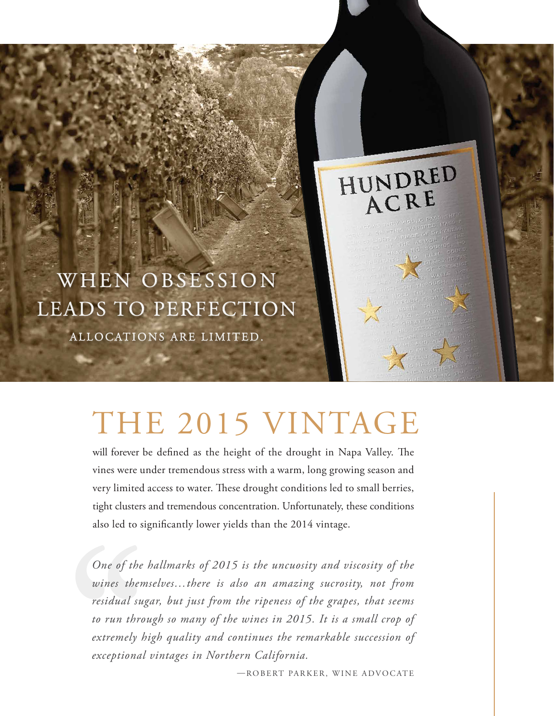

# THE 2015 VINTAGE

will forever be defined as the height of the drought in Napa Valley. The vines were under tremendous stress with a warm, long growing season and very limited access to water. These drought conditions led to small berries, tight clusters and tremendous concentration. Unfortunately, these conditions also led to significantly lower yields than the 2014 vintage.

*One of the hallmarks of 2015 is the uncuosity and viscosity of the wines themselves…there is also an amazing sucrosity, not from residual sugar, but just from the ripeness of the grapes, that seems to run through so many of the wines in 2015. It is a small crop of extremely high quality and continues the remarkable succession of exceptional vintages in Northern California.*

—ROBERT PARKER, WINE ADVOCATE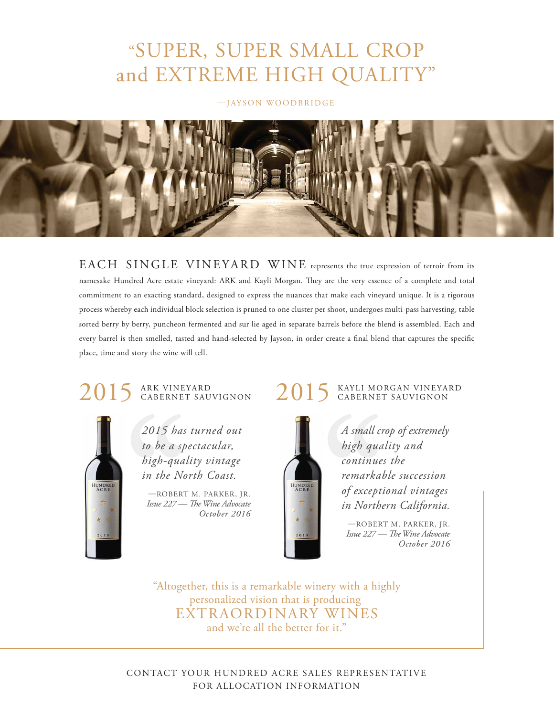## "SUPER, SUPER SMALL CROP and EXTREME HIGH QUALITY"

#### —JAYSON WOODBRIDGE



EACH SINGLE VINEYARD WINE represents the true expression of terroir from its namesake Hundred Acre estate vineyard: ARK and Kayli Morgan. They are the very essence of a complete and total commitment to an exacting standard, designed to express the nuances that make each vineyard unique. It is a rigorous process whereby each individual block selection is pruned to one cluster per shoot, undergoes multi-pass harvesting, table sorted berry by berry, puncheon fermented and sur lie aged in separate barrels before the blend is assembled. Each and every barrel is then smelled, tasted and hand-selected by Jayson, in order create a final blend that captures the specific place, time and story the wine will tell.

# 2015 ARK VINEYARD



*2015 has turned out to be a spectacular, high-quality vintage in the North Coast.*

—ROBERT M. PARKER, JR. *Issue 227 — The Wine Advocate October 2016* 

# 2015 KAYLI MORGAN VINEYARD



*A small crop of extremely high quality and continues the remarkable succession of exceptional vintages in Northern California.* 

—ROBERT M. PARKER, JR. *Issue 227 — The Wine Advocate October 2016* 

"Altogether, this is a remarkable winery with a highly personalized vision that is producing EXTRAORDINARY WINES and we're all the better for it."

CONTACT YOUR HUNDRED ACRE SALES REPRESENTATIVE FOR ALLOCATION INFORMATION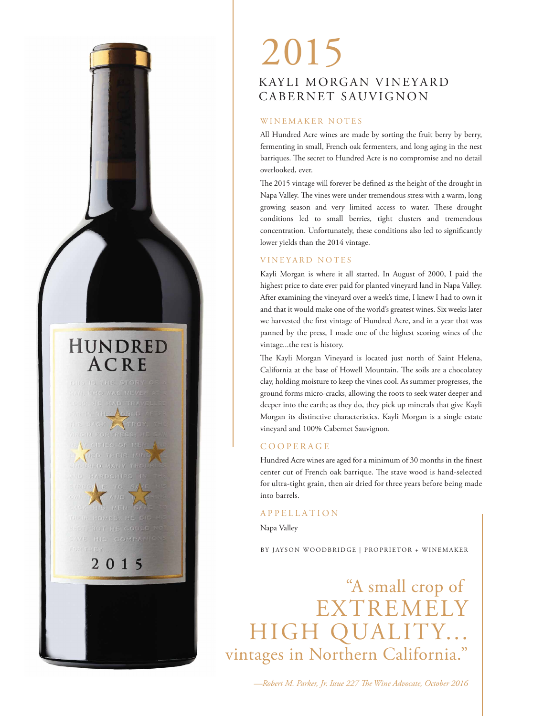### HUNDRED ACRE

NED TRIETE MU **JOURED MANY TRO** 2015

### KAYLI MORGAN VINEYARD CABERNET SAUVIGNON 2015

#### WINEMAKER NOTES

All Hundred Acre wines are made by sorting the fruit berry by berry, fermenting in small, French oak fermenters, and long aging in the nest barriques. The secret to Hundred Acre is no compromise and no detail overlooked, ever.

The 2015 vintage will forever be defined as the height of the drought in Napa Valley. The vines were under tremendous stress with a warm, long growing season and very limited access to water. These drought conditions led to small berries, tight clusters and tremendous concentration. Unfortunately, these conditions also led to significantly lower yields than the 2014 vintage.

#### VINEYARD NOTES

Kayli Morgan is where it all started. In August of 2000, I paid the highest price to date ever paid for planted vineyard land in Napa Valley. After examining the vineyard over a week's time, I knew I had to own it and that it would make one of the world's greatest wines. Six weeks later we harvested the first vintage of Hundred Acre, and in a year that was panned by the press, I made one of the highest scoring wines of the vintage...the rest is history.

The Kayli Morgan Vineyard is located just north of Saint Helena, California at the base of Howell Mountain. The soils are a chocolatey clay, holding moisture to keep the vines cool. As summer progresses, the ground forms micro-cracks, allowing the roots to seek water deeper and deeper into the earth; as they do, they pick up minerals that give Kayli Morgan its distinctive characteristics. Kayli Morgan is a single estate vineyard and 100% Cabernet Sauvignon.

#### COOPERAGE

Hundred Acre wines are aged for a minimum of 30 months in the finest center cut of French oak barrique. The stave wood is hand-selected for ultra-tight grain, then air dried for three years before being made into barrels.

#### APPELLATION

Napa Valley

BY JAYSON WOODBRIDGE | PROPRIETOR + WINEMAKER

"A small crop of EXTREMELY HIGH QUALITY... vintages in Northern California."

-Robert M. Parker, Jr. Issue 227 The Wine Advocate, October 2016